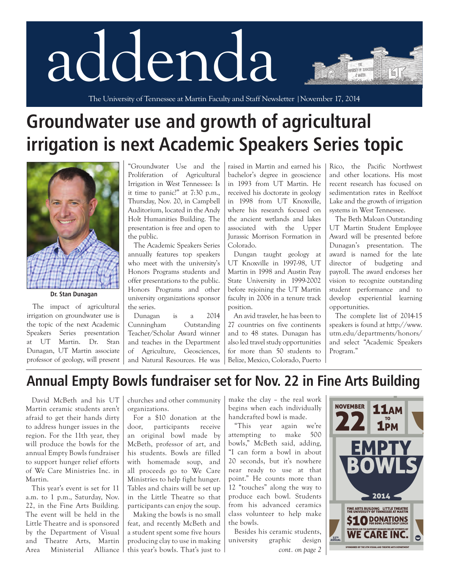# addenda

The University of Tennessee at Martin Faculty and Staff Newsletter |November 17, 2014

## **Groundwater use and growth of agricultural irrigation is next Academic Speakers Series topic**



**Dr. Stan Dunagan**

The impact of agricultural irrigation on groundwater use is the topic of the next Academic Speakers Series presentation at UT Martin. Dr. Stan Dunagan, UT Martin associate professor of geology, will present

"Groundwater Use and the Proliferation of Agricultural Irrigation in West Tennessee: Is it time to panic?" at 7:30 p.m., Thursday, Nov. 20, in Campbell Auditorium, located in the Andy Holt Humanities Building. The presentation is free and open to the public.

The Academic Speakers Series annually features top speakers who meet with the university's Honors Programs students and offer presentations to the public. Honors Programs and other university organizations sponsor the series.

Dunagan is a 2014 Cunningham Outstanding Teacher/Scholar Award winner and teaches in the Department of Agriculture, Geosciences, and Natural Resources. He was raised in Martin and earned his bachelor's degree in geoscience in 1993 from UT Martin. He received his doctorate in geology in 1998 from UT Knoxville, where his research focused on the ancient wetlands and lakes associated with the Upper Jurassic Morrison Formation in Colorado.

Dungan taught geology at UT Knoxville in 1997-98, UT Martin in 1998 and Austin Peay State University in 1999-2002 before rejoining the UT Martin faculty in 2006 in a tenure track position.

An avid traveler, he has been to 27 countries on five continents and to 48 states. Dunagan has also led travel study opportunities for more than 50 students to Belize, Mexico, Colorado, Puerto Rico, the Pacific Northwest and other locations. His most recent research has focused on sedimentation rates in Reelfoot Lake and the growth of irrigation systems in West Tennessee.

EISTY OF TENN **AT MARTIN** 

The Beth Maloan Outstanding UT Martin Student Employee Award will be presented before Dunagan's presentation. The award is named for the late director of budgeting and payroll. The award endorses her vision to recognize outstanding student performance and to develop experiential learning opportunities.

The complete list of 2014-15 speakers is found at [http://www.](http://www.utm.edu/departments/honors/) [utm.edu/departments/honors/](http://www.utm.edu/departments/honors/)  and select "Academic Speakers Program."

### **Annual Empty Bowls fundraiser set for Nov. 22 in Fine Arts Building**

David McBeth and his UT Martin ceramic students aren't afraid to get their hands dirty to address hunger issues in the region. For the 11th year, they will produce the bowls for the annual Empty Bowls fundraiser to support hunger relief efforts of We Care Ministries Inc. in Martin.

This year's event is set for 11 a.m. to 1 p.m., Saturday, Nov. 22, in the Fine Arts Building. The event will be held in the Little Theatre and is sponsored by the Department of Visual and Theatre Arts, Martin Area Ministerial Alliance

churches and other community organizations.

For a \$10 donation at the door, participants receive an original bowl made by McBeth, professor of art, and his students. Bowls are filled with homemade soup, and all proceeds go to We Care Ministries to help fight hunger. Tables and chairs will be set up in the Little Theatre so that participants can enjoy the soup.

Making the bowls is no small feat, and recently McBeth and a student spent some five hours producing clay to use in making this year's bowls. That's just to

make the clay – the real work begins when each individually handcrafted bowl is made.

"This year again we're attempting to make 500 bowls," McBeth said, adding, "I can form a bowl in about 20 seconds, but it's nowhere near ready to use at that point." He counts more than 12 "touches" along the way to produce each bowl. Students from his advanced ceramics class volunteer to help make the bowls.

Besides his ceramic students, university graphic design *cont. on page 2*

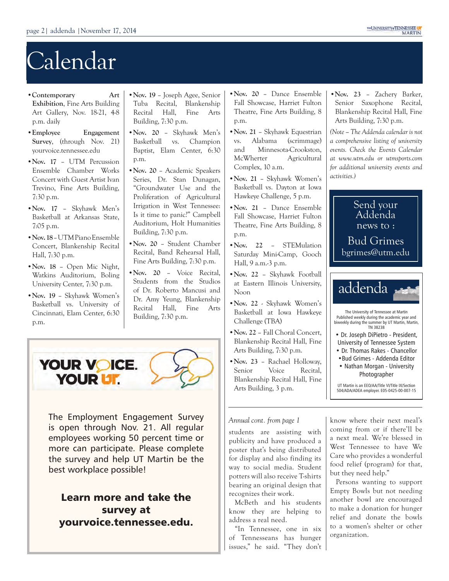## Calendar

- •**Contemporary Art Exhibition**, Fine Arts Building Art Gallery, Nov. 18-21, 4-8 p.m. daily
- •**Employee Engagement Survey**, (through Nov. 21) [yourvoice.tennessee.edu](http://yourvoice.tennessee.edu)
- •**Nov. 17** UTM Percussion Ensemble Chamber Works Concert with Guest Artist Ivan Trevino, Fine Arts Building, 7:30 p.m.
- **•Nov. 17** Skyhawk Men's Basketball at Arkansas State, 7:05 p.m.
- **•Nov. 18** UTM Piano Ensemble Concert, Blankenship Recital Hall, 7:30 p.m.
- **•Nov. 18** Open Mic Night, Watkins Auditorium, Boling University Center, 7:30 p.m.
- •**Nov. 19** Skyhawk Women's Basketball vs. University of Cincinnati, Elam Center, 6:30 p.m.
- **•Nov. 19** Joseph Agee, Senior Tuba Recital, Blankenship Recital Hall, Fine Arts Building, 7:30 p.m.
- **•Nov. 20** Skyhawk Men's Basketball vs. Champion Baptist, Elam Center, 6:30 p.m.
- **•Nov. 20** Academic Speakers Series, Dr. Stan Dunagan, "Groundwater Use and the Proliferation of Agricultural Irrigation in West Tennessee: Is it time to panic?" Campbell Auditorium, Holt Humanities Building, 7:30 p.m.
- **•Nov. 20** Student Chamber Recital, Band Rehearsal Hall, Fine Arts Building, 7:30 p.m.
- **•Nov. 20** Voice Recital, Students from the Studios of Dr. Roberto Mancusi and Dr. Amy Yeung, Blankenship Recital Hall, Fine Arts Building, 7:30 p.m.



The Employment Engagement Survey is open through Nov. 21. All regular employees working 50 percent time or more can participate. Please complete the survey and help UT Martin be the best workplace possible!

Learn more and take the survey at [yourvoice.tennessee.edu.](http://yourvoice.tennessee.edu)

- **•Nov. 20** Dance Ensemble Fall Showcase, Harriet Fulton Theatre, Fine Arts Building, 8 p.m.
- **•Nov. 21** Skyhawk Equestrian vs. Alabama (scrimmage) and Minnesota-Crookston, McWherter Agricultural Complex, 10 a.m.
- **•Nov. 21** Skyhawk Women's Basketball vs. Dayton at Iowa Hawkeye Challenge, 5 p.m.
- **•Nov. 21** Dance Ensemble Fall Showcase, Harriet Fulton Theatre, Fine Arts Building, 8 p.m.
- **•Nov. 22** STEMulation Saturday Mini-Camp, Gooch Hall, 9 a.m.-3 p.m.
- **•Nov. 22** Skyhawk Football at Eastern Illinois University, Noon
- **•Nov. 22** Skyhawk Women's Basketball at Iowa Hawkeye Challenge (TBA)
- **•Nov. 22** Fall Choral Concert, Blankenship Recital Hall, Fine Arts Building, 7:30 p.m.
- **•Nov. 23** Rachael Holloway, Senior Voice Recital, Blankenship Recital Hall, Fine Arts Building, 3 p.m.

#### *Annual cont. from page 1*

students are assisting with publicity and have produced a poster that's being distributed for display and also finding its way to social media. Student potters will also receive T-shirts bearing an original design that recognizes their work.

McBeth and his students know they are helping to address a real need.

"In Tennessee, one in six of Tennesseans has hunger issues," he said. "They don't **•Nov. 23** – Zachery Barker, Senior Saxophone Recital, Blankenship Recital Hall, Fine Arts Building, 7:30 p.m.

*(Note – The Addenda calendar is not a comprehensive listing of university events. Check the Events Calendar at www.utm.edu or [utmsports.com](http://utmsports.com) for additional university events and activities.)*



know where their next meal's coming from or if there'll be a next meal. We're blessed in West Tennessee to have We Care who provides a wonderful food relief (program) for that, but they need help."

Persons wanting to support Empty Bowls but not needing another bowl are encouraged to make a donation for hunger relief and donate the bowls to a women's shelter or other organization.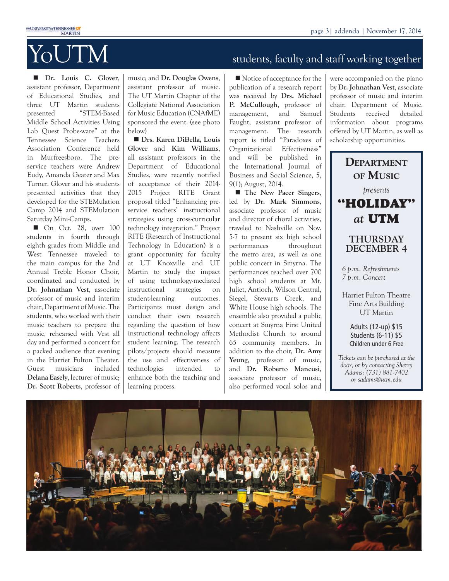

**n Dr.** Louis C. Glover, assistant professor, Department of Educational Studies, and three UT Martin students presented "STEM-Based Middle School Activities Using Lab Quest Probe-ware" at the Tennessee Science Teachers Association Conference held in Murfreesboro. The preservice teachers were Andrew Eudy, Amanda Geater and Max Turner. Glover and his students presented activities that they developed for the STEMulation Camp 2014 and STEMulation Saturday Mini-Camps.

 $\blacksquare$  On Oct. 28, over 100 students in fourth through eighth grades from Middle and West Tennessee traveled to the main campus for the 2nd Annual Treble Honor Choir, coordinated and conducted by **Dr. Johnathan Vest**, associate professor of music and interim chair, Department of Music. The students, who worked with their music teachers to prepare the music, rehearsed with Vest all day and performed a concert for a packed audience that evening in the Harriet Fulton Theater. Guest musicians included **Delana Easely**, lecturer of music; **Dr. Scott Roberts**, professor of

music; and **Dr. Douglas Owens**, assistant professor of music. The UT Martin Chapter of the Collegiate National Association for Music Education (CNAfME) sponsored the event. (see photo below)

■ Drs. Karen DiBella, Louis **Glover** and **Kim Williams**, all assistant professors in the Department of Educational Studies, were recently notified of acceptance of their 2014- 2015 Project RITE Grant proposal titled "Enhancing preservice teachers' instructional strategies using cross-curricular technology integration." Project RITE (Research of Instructional Technology in Education) is a grant opportunity for faculty at UT Knoxville and UT Martin to study the impact of using technology-mediated instructional strategies on student-learning outcomes. Participants must design and conduct their own research regarding the question of how instructional technology affects student learning. The research pilots/projects should measure the use and effectiveness of technologies intended to enhance both the teaching and learning process.

## $\delta_{\rm FWH}$  and  $\delta_{\rm FWH}$  and staff working together

 $\blacksquare$  Notice of acceptance for the publication of a research report was received by **Drs. Michael P. McCullough**, professor of management, and Samuel Faught, assistant professor of management. The research report is titled "Paradoxes of Organizational Effectiveness" and will be published in the International Journal of Business and Social Science, 5, 9(1); August, 2014.

**n** The New Pacer Singers, led by **Dr. Mark Simmons**, associate professor of music and director of choral activities, traveled to Nashville on Nov. 5-7 to present six high school performances throughout the metro area, as well as one public concert in Smyrna. The performances reached over 700 high school students at Mt. Juliet, Antioch, Wilson Central, Siegel, Stewarts Creek, and White House high schools. The ensemble also provided a public concert at Smyrna First United Methodist Church to around 65 community members. In addition to the choir, **Dr. Amy Yeung**, professor of music, and **Dr. Roberto Mancusi**, associate professor of music, also performed vocal solos and were accompanied on the piano by **Dr. Johnathan Vest**, associate professor of music and interim chair, Department of Music. Students received detailed information about programs offered by UT Martin, as well as scholarship opportunities.